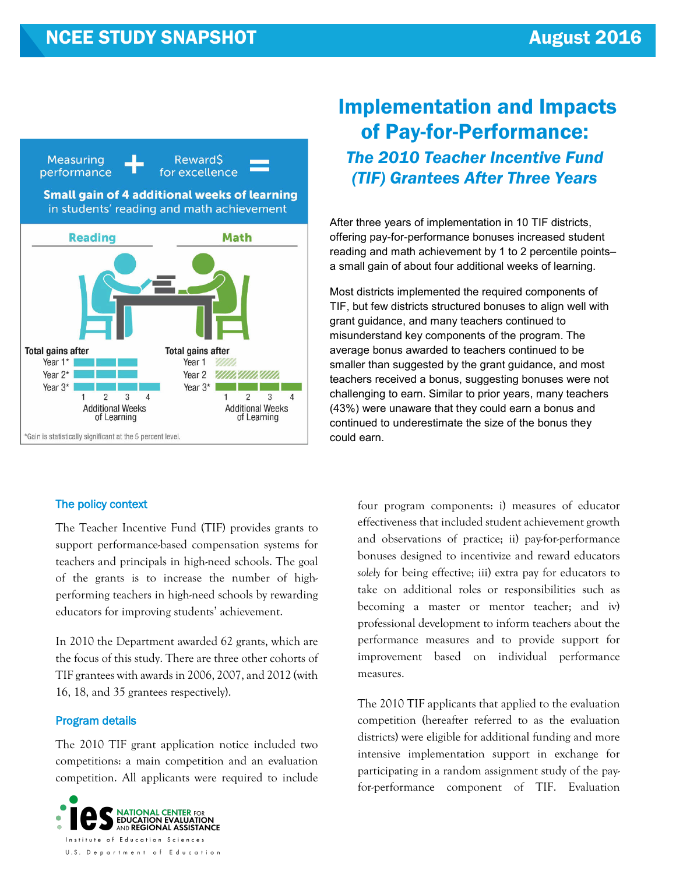

## The policy context

The Teacher Incentive Fund (TIF) provides grants to support performance-based compensation systems for teachers and principals in high-need schools. The goal of the grants is to increase the number of highperforming teachers in high-need schools by rewarding educators for improving students' achievement.

In 2010 the Department awarded 62 grants, which are the focus of this study. There are three other cohorts of TIF grantees with awards in 2006, 2007, and 2012 (with 16, 18, and 35 grantees respectively).

#### Program details

The 2010 TIF grant application notice included two competitions: a main competition and an evaluation competition. All applicants were required to include



# Implementation and Impacts of Pay-for-Performance: *The 2010 Teacher Incentive Fund (TIF) Grantees After Three Years*

After three years of implementation in 10 TIF districts, offering pay-for-performance bonuses increased student reading and math achievement by 1 to 2 percentile points– a small gain of about four additional weeks of learning.

Most districts implemented the required components of TIF, but few districts structured bonuses to align well with grant guidance, and many teachers continued to misunderstand key components of the program. The average bonus awarded to teachers continued to be smaller than suggested by the grant guidance, and most teachers received a bonus, suggesting bonuses were not challenging to earn. Similar to prior years, many teachers (43%) were unaware that they could earn a bonus and continued to underestimate the size of the bonus they could earn.

four program components: i) measures of educator effectiveness that included student achievement growth and observations of practice; ii) pay-for-performance bonuses designed to incentivize and reward educators *solely* for being effective; iii) extra pay for educators to take on additional roles or responsibilities such as becoming a master or mentor teacher; and iv**)**  professional development to inform teachers about the performance measures and to provide support for improvement based on individual performance measures.

The 2010 TIF applicants that applied to the evaluation competition (hereafter referred to as the evaluation districts) were eligible for additional funding and more intensive implementation support in exchange for participating in a random assignment study of the payfor-performance component of TIF. Evaluation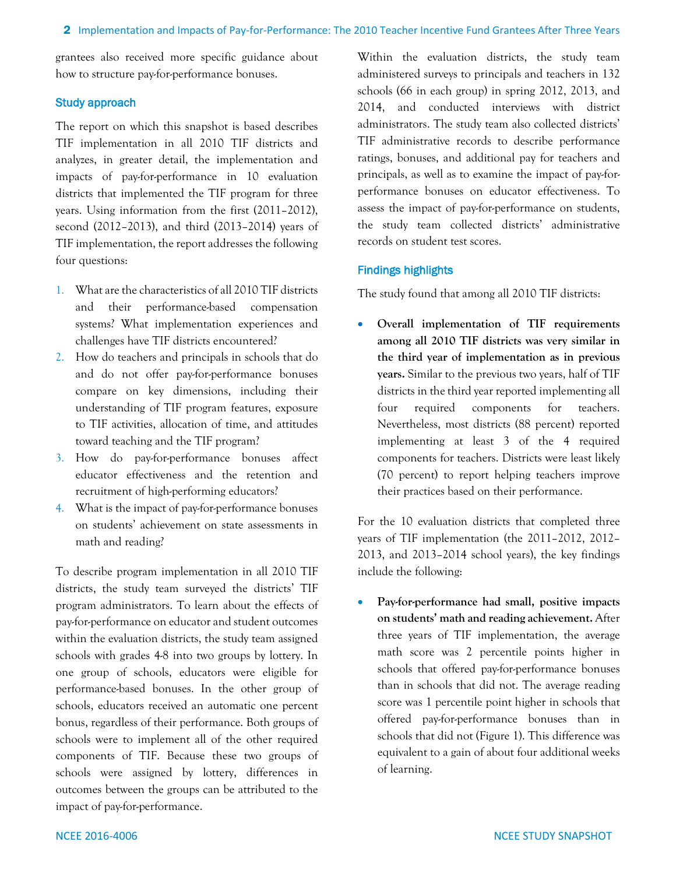grantees also received more specific guidance about how to structure pay-for-performance bonuses.

### Study approach

The report on which this snapshot is based describes TIF implementation in all 2010 TIF districts and analyzes, in greater detail, the implementation and impacts of pay-for-performance in 10 evaluation districts that implemented the TIF program for three years. Using information from the first (2011–2012), second (2012–2013), and third (2013–2014) years of TIF implementation, the report addresses the following four questions:

- 1. What are the characteristics of all 2010 TIF districts and their performance-based compensation systems? What implementation experiences and challenges have TIF districts encountered?
- 2. How do teachers and principals in schools that do and do not offer pay-for-performance bonuses compare on key dimensions, including their understanding of TIF program features, exposure to TIF activities, allocation of time, and attitudes toward teaching and the TIF program?
- 3. How do pay-for-performance bonuses affect educator effectiveness and the retention and recruitment of high-performing educators?
- 4. What is the impact of pay-for-performance bonuses on students' achievement on state assessments in math and reading?

To describe program implementation in all 2010 TIF districts, the study team surveyed the districts' TIF program administrators. To learn about the effects of pay-for-performance on educator and student outcomes within the evaluation districts, the study team assigned schools with grades 4-8 into two groups by lottery. In one group of schools, educators were eligible for performance-based bonuses. In the other group of schools, educators received an automatic one percent bonus, regardless of their performance. Both groups of schools were to implement all of the other required components of TIF. Because these two groups of schools were assigned by lottery, differences in outcomes between the groups can be attributed to the impact of pay-for-performance.

Within the evaluation districts, the study team administered surveys to principals and teachers in 132 schools (66 in each group) in spring 2012, 2013, and 2014, and conducted interviews with district administrators. The study team also collected districts' TIF administrative records to describe performance ratings, bonuses, and additional pay for teachers and principals, as well as to examine the impact of pay-forperformance bonuses on educator effectiveness. To assess the impact of pay-for-performance on students, the study team collected districts' administrative records on student test scores.

# Findings highlights

The study found that among all 2010 TIF districts:

• **Overall implementation of TIF requirements among all 2010 TIF districts was very similar in the third year of implementation as in previous years.** Similar to the previous two years, half of TIF districts in the third year reported implementing all four required components for teachers. Nevertheless, most districts (88 percent) reported implementing at least 3 of the 4 required components for teachers. Districts were least likely (70 percent) to report helping teachers improve their practices based on their performance.

For the 10 evaluation districts that completed three years of TIF implementation (the 2011–2012, 2012– 2013, and 2013–2014 school years), the key findings include the following:

• **Pay-for-performance had small, positive impacts on students' math and reading achievement.** After three years of TIF implementation, the average math score was 2 percentile points higher in schools that offered pay-for-performance bonuses than in schools that did not. The average reading score was 1 percentile point higher in schools that offered pay-for-performance bonuses than in schools that did not (Figure 1). This difference was equivalent to a gain of about four additional weeks of learning.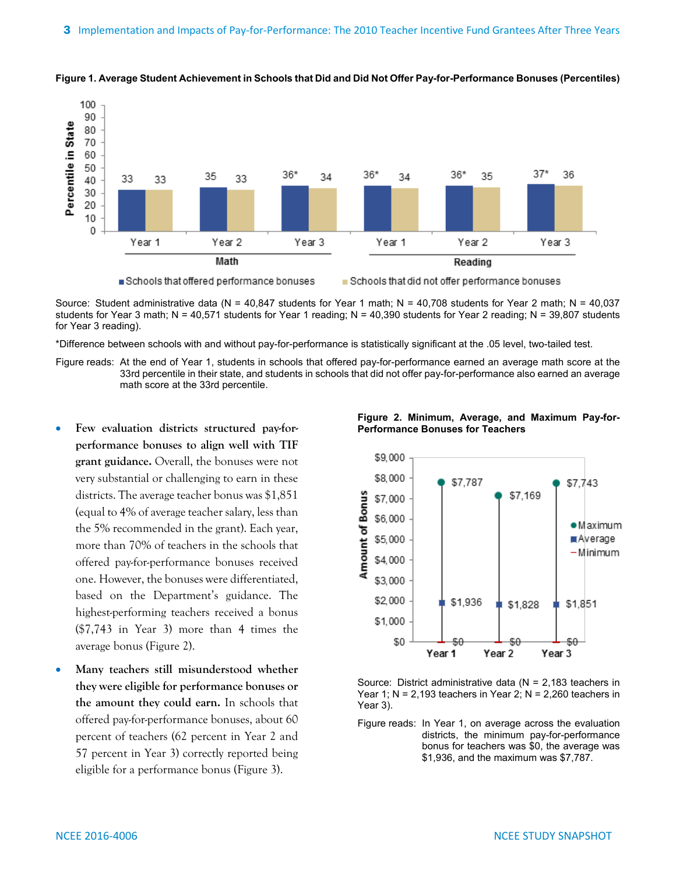



Source: Student administrative data (N = 40,847 students for Year 1 math; N = 40,708 students for Year 2 math; N = 40,037 students for Year 3 math; N = 40,571 students for Year 1 reading; N = 40,390 students for Year 2 reading; N = 39,807 students for Year 3 reading).

\*Difference between schools with and without pay-for-performance is statistically significant at the .05 level, two-tailed test.

Figure reads: At the end of Year 1, students in schools that offered pay-for-performance earned an average math score at the 33rd percentile in their state, and students in schools that did not offer pay-for-performance also earned an average math score at the 33rd percentile.

- **Few evaluation districts structured pay-forperformance bonuses to align well with TIF grant guidance.** Overall, the bonuses were not very substantial or challenging to earn in these districts. The average teacher bonus was \$1,851 (equal to 4% of average teacher salary, less than the 5% recommended in the grant). Each year, more than 70% of teachers in the schools that offered pay-for-performance bonuses received one. However, the bonuses were differentiated, based on the Department's guidance. The highest-performing teachers received a bonus (\$7,743 in Year 3) more than 4 times the average bonus (Figure 2).
- **Many teachers still misunderstood whether they were eligible for performance bonuses or the amount they could earn.** In schools that offered pay-for-performance bonuses, about 60 percent of teachers (62 percent in Year 2 and 57 percent in Year 3) correctly reported being eligible for a performance bonus (Figure 3).





Source: District administrative data (N = 2,183 teachers in Year 1;  $N = 2,193$  teachers in Year 2;  $N = 2,260$  teachers in Year 3).

Figure reads: In Year 1, on average across the evaluation districts, the minimum pay-for-performance bonus for teachers was \$0, the average was \$1,936, and the maximum was \$7,787.